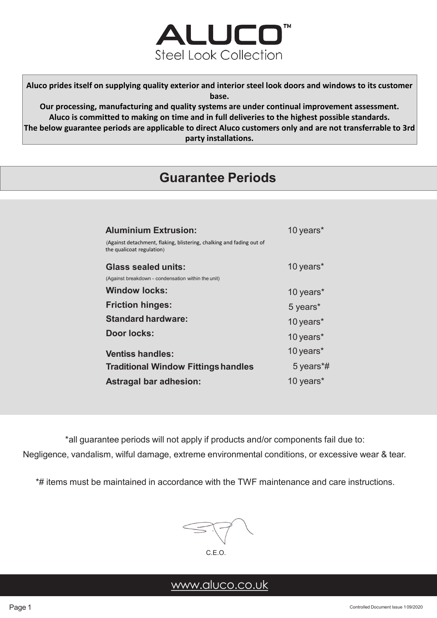

**Aluco prides itself on supplying quality exterior and interior steel look doors and windows to its customer base.**

**Our processing, manufacturing and quality systems are under continual improvement assessment. Aluco is committed to making on time and in full deliveries to the highest possible standards. The below guarantee periods are applicable to direct Aluco customers only and are not transferrable to 3rd party installations.**

# **Guarantee Periods**

| <b>Aluminium Extrusion:</b>                                                                       | 10 years* |
|---------------------------------------------------------------------------------------------------|-----------|
| (Against detachment, flaking, blistering, chalking and fading out of<br>the qualicoat regulation) |           |
| Glass sealed units:                                                                               | 10 years* |
| (Against breakdown - condensation within the unit)                                                |           |
| <b>Window locks:</b>                                                                              | 10 years* |
| <b>Friction hinges:</b>                                                                           | 5 years*  |
| <b>Standard hardware:</b>                                                                         | 10 years* |
| Door locks:                                                                                       | 10 years* |
| <b>Ventiss handles:</b>                                                                           | 10 years* |
| <b>Traditional Window Fittings handles</b>                                                        | 5 years*# |
| <b>Astragal bar adhesion:</b>                                                                     | 10 years* |

\*all guarantee periods will not apply if products and/or components fail due to:

Negligence, vandalism, wilful damage, extreme environmental conditions, or excessive wear & tear.

\*# items must be maintained in accordance with the TWF maintenance and care instructions.



# [www.aluco.co.uk](http://www.aluco.co.uk/)